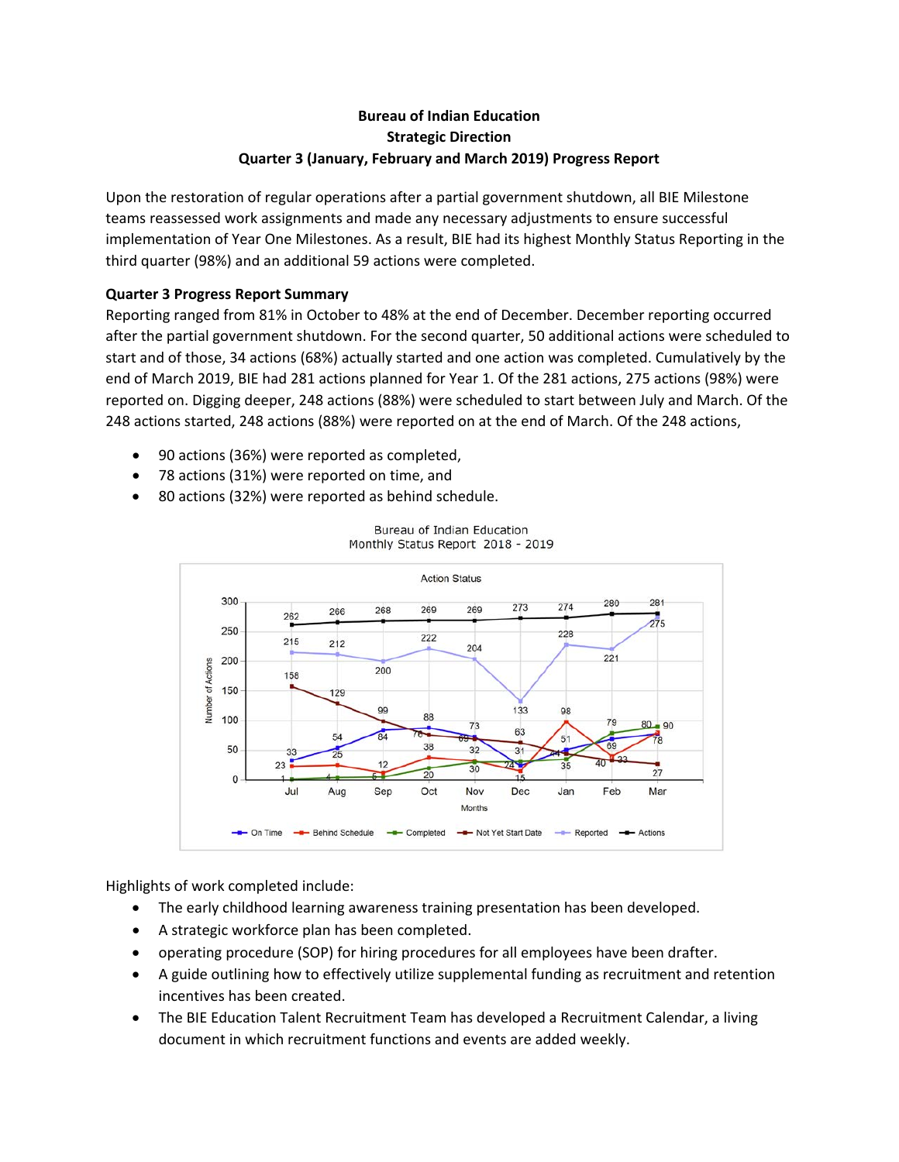# **Bureau of Indian Education Strategic Direction Quarter 3 (January, February and March 2019) Progress Report**

Upon the restoration of regular operations after a partial government shutdown, all BIE Milestone teams reassessed work assignments and made any necessary adjustments to ensure successful implementation of Year One Milestones. As a result, BIE had its highest Monthly Status Reporting in the third quarter (98%) and an additional 59 actions were completed.

## **Quarter 3 Progress Report Summary**

Reporting ranged from 81% in October to 48% at the end of December. December reporting occurred after the partial government shutdown. For the second quarter, 50 additional actions were scheduled to start and of those, 34 actions (68%) actually started and one action was completed. Cumulatively by the end of March 2019, BIE had 281 actions planned for Year 1. Of the 281 actions, 275 actions (98%) were reported on. Digging deeper, 248 actions (88%) were scheduled to start between July and March. Of the 248 actions started, 248 actions (88%) were reported on at the end of March. Of the 248 actions,

- 90 actions (36%) were reported as completed,
- 78 actions (31%) were reported on time, and
- 80 actions (32%) were reported as behind schedule.



Bureau of Indian Education Monthly Status Report 2018 - 2019

Highlights of work completed include:

- The early childhood learning awareness training presentation has been developed.
- A strategic workforce plan has been completed.
- operating procedure (SOP) for hiring procedures for all employees have been drafter.
- A guide outlining how to effectively utilize supplemental funding as recruitment and retention incentives has been created.
- The BIE Education Talent Recruitment Team has developed a Recruitment Calendar, a living document in which recruitment functions and events are added weekly.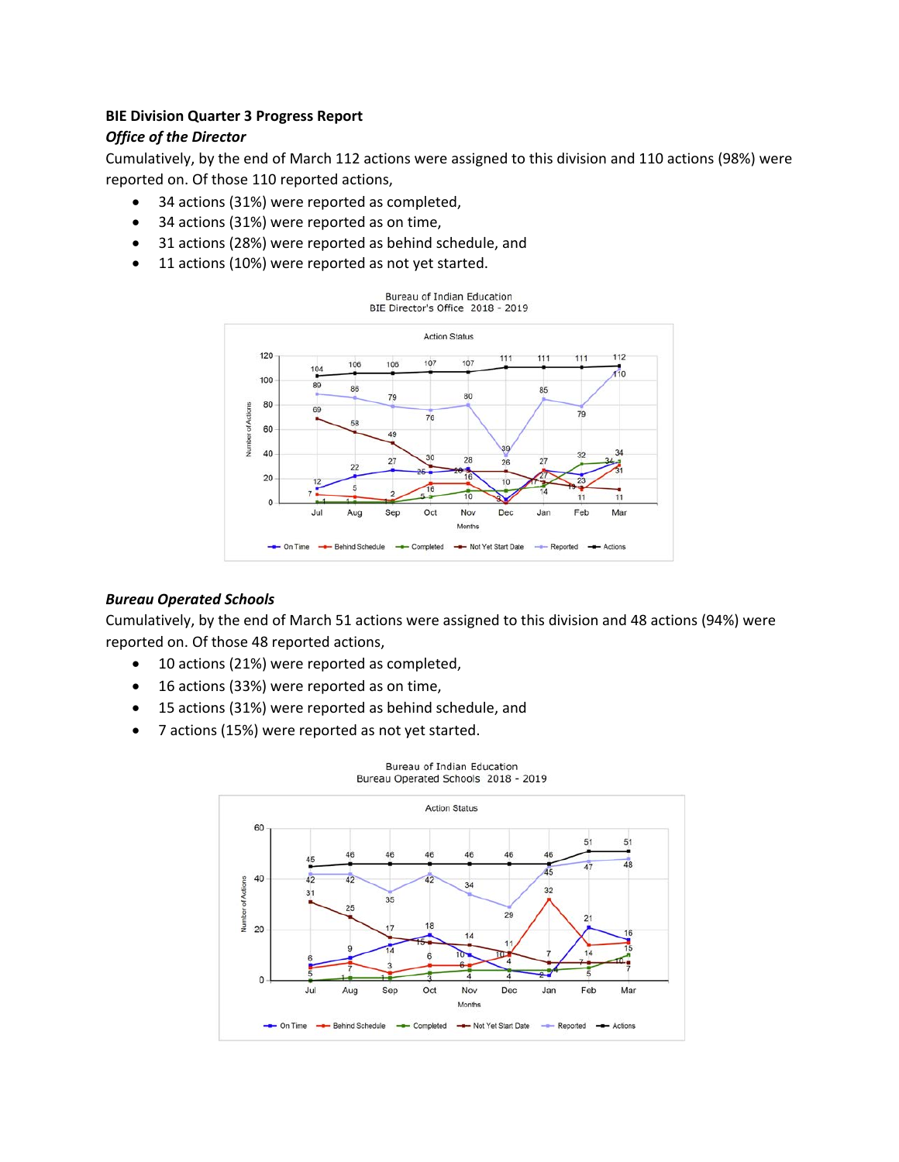# **BIE Division Quarter 3 Progress Report**

### *Office of the Director*

Cumulatively, by the end of March 112 actions were assigned to this division and 110 actions (98%) were reported on. Of those 110 reported actions,

- 34 actions (31%) were reported as completed,
- 34 actions (31%) were reported as on time,
- 31 actions (28%) were reported as behind schedule, and
- 11 actions (10%) were reported as not yet started.



#### *Bureau Operated Schools*

Cumulatively, by the end of March 51 actions were assigned to this division and 48 actions (94%) were reported on. Of those 48 reported actions,

- 10 actions (21%) were reported as completed,
- 16 actions (33%) were reported as on time,
- 15 actions (31%) were reported as behind schedule, and
- 7 actions (15%) were reported as not yet started.

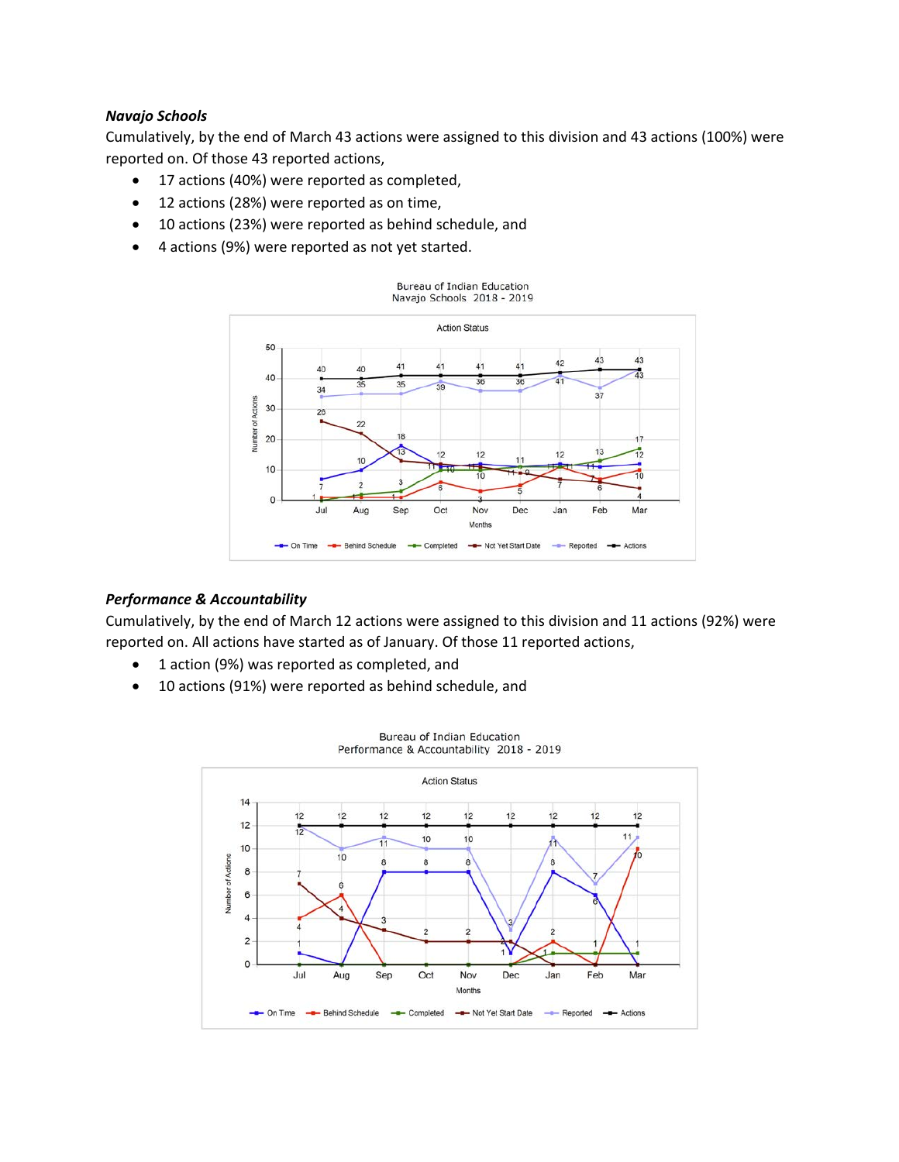#### *Navajo Schools*

Cumulatively, by the end of March 43 actions were assigned to this division and 43 actions (100%) were reported on. Of those 43 reported actions,

- 17 actions (40%) were reported as completed,
- 12 actions (28%) were reported as on time,
- 10 actions (23%) were reported as behind schedule, and
- 4 actions (9%) were reported as not yet started.



#### *Performance & Accountability*

Cumulatively, by the end of March 12 actions were assigned to this division and 11 actions (92%) were reported on. All actions have started as of January. Of those 11 reported actions,

- 1 action (9%) was reported as completed, and
- 10 actions (91%) were reported as behind schedule, and